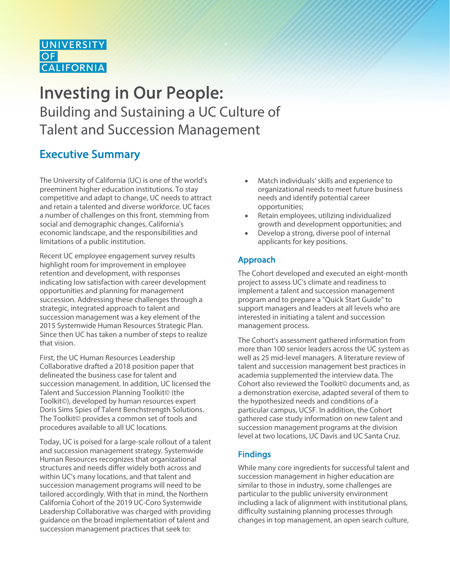# **UNIVERSITY**  $OF$  **CALIFORNIA**

# Investing in Our People: Building and Sustaining a UC Culture of Talent and Succession Management

# Executive Summary

The University of California (UC) is one of the world's preeminent higher education institutions. To stay competitive and adapt to change, UC needs to attract and retain a talented and diverse workforce. UC faces a number of challenges on this front, stemming from social and demographic changes, California's economic landscape, and the responsibilities and limitations of a public institution.

Recent UC employee engagement survey results highlight room for improvement in employee retention and development, with responses indicating low satisfaction with career development opportunities and planning for management succession. Addressing these challenges through a strategic, integrated approach to talent and succession management was a key element of the 2015 Systemwide Human Resources Strategic Plan. Since then UC has taken a number of steps to realize that vision.

First, the UC Human Resources Leadership Collaborative drafted a 2018 position paper that delineated the business case for talent and succession management. In addition, UC licensed the Talent and Succession Planning Toolkit© (the Toolkit©), developed by human resources expert Doris Sims Spies of Talent Benchstrength Solutions. The Toolkit© provides a common set of tools and procedures available to all UC locations.

Today, UC is poised for a large-scale rollout of a talent and succession management strategy. Systemwide Human Resources recognizes that organizational structures and needs differ widely both across and within UC's many locations, and that talent and succession management programs will need to be tailored accordingly. With that in mind, the Northern California Cohort of the 2019 UC-Coro Systemwide Leadership Collaborative was charged with providing guidance on the broad implementation of talent and succession management practices that seek to:

- Match individuals' skills and experience to organizational needs to meet future business needs and identify potential career opportunities;
- Retain employees, utilizing individualized growth and development opportunities; and
- Develop a strong, diverse pool of internal applicants for key positions.

# Approach

The Cohort developed and executed an eight-month project to assess UC's climate and readiness to implement a talent and succession management program and to prepare a "Quick Start Guide" to support managers and leaders at all levels who are interested in initiating a talent and succession management process.

The Cohort's assessment gathered information from more than 100 senior leaders across the UC system as well as 25 mid-level managers. A literature review of talent and succession management best practices in academia supplemented the interview data. The Cohort also reviewed the Toolkit© documents and, as a demonstration exercise, adapted several of them to the hypothesized needs and conditions of a particular campus, UCSF. In addition, the Cohort gathered case study information on new talent and succession management programs at the division level at two locations, UC Davis and UC Santa Cruz.

# Findings

While many core ingredients for successful talent and succession management in higher education are similar to those in industry, some challenges are particular to the public university environment including a lack of alignment with institutional plans, difficulty sustaining planning processes through changes in top management, an open search culture,